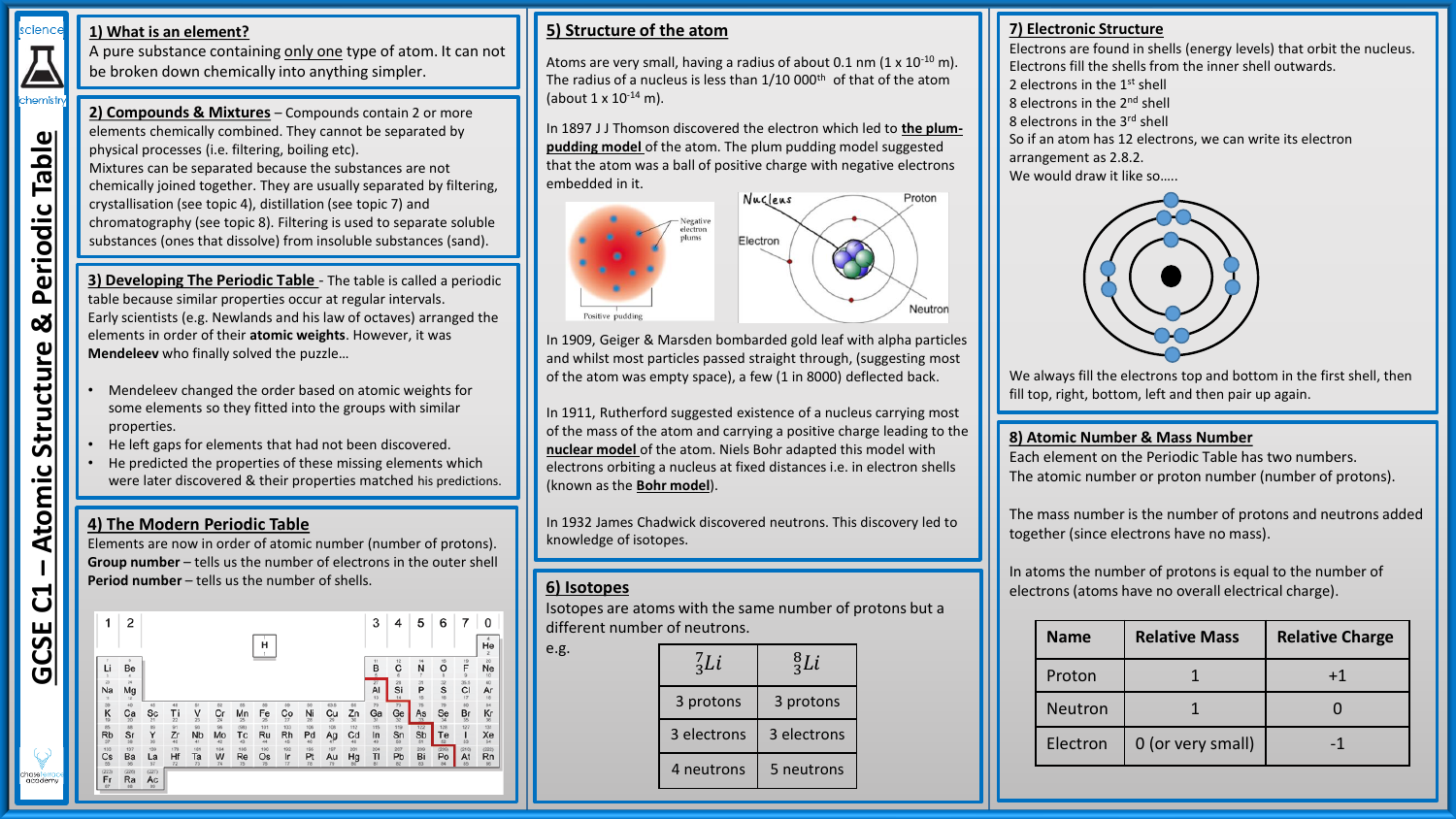# scienc

chemistr

Table

Periodic

**– Atomic Structure & Periodic Table**

**Structure** 

Atomic

ಜ

**1) What is an element?**

A pure substance containing only one type of atom. It can not be broken down chemically into anything simpler.

**2) Compounds & Mixtures** – Compounds contain 2 or more elements chemically combined. They cannot be separated by physical processes (i.e. filtering, boiling etc). Mixtures can be separated because the substances are not chemically joined together. They are usually separated by filtering, crystallisation (see topic 4), distillation (see topic 7) and chromatography (see topic 8). Filtering is used to separate soluble substances (ones that dissolve) from insoluble substances (sand).

**3) Developing The Periodic Table** - The table is called a periodic table because similar properties occur at regular intervals. Early scientists (e.g. Newlands and his law of octaves) arranged the elements in order of their **atomic weights**. However, it was **Mendeleev** who finally solved the puzzle…

- Mendeleev changed the order based on atomic weights for some elements so they fitted into the groups with similar properties.
- He left gaps for elements that had not been discovered.
- He predicted the properties of these missing elements which were later discovered & their properties matched his predictions.

# **4) The Modern Periodic Table**

Elements are now in order of atomic number (number of protons). **Group number** – tells us the number of electrons in the outer shell **Period number** – tells us the number of shells.



# **5) Structure of the atom**

Atoms are very small, having a radius of about  $0.1$  nm  $(1 \times 10^{-10}$  m). The radius of a nucleus is less than 1/10 000<sup>th</sup> of that of the atom (about 1 x 10-14 m).

In 1897 J J Thomson discovered the electron which led to **the plumpudding model** of the atom. The plum pudding model suggested that the atom was a ball of positive charge with negative electrons embedded in it.



In 1909, Geiger & Marsden bombarded gold leaf with alpha particles and whilst most particles passed straight through, (suggesting most of the atom was empty space), a few (1 in 8000) deflected back.

In 1911, Rutherford suggested existence of a nucleus carrying most of the mass of the atom and carrying a positive charge leading to the **nuclear model** of the atom. Niels Bohr adapted this model with electrons orbiting a nucleus at fixed distances i.e. in electron shells (known as the **Bohr model**).

In 1932 James Chadwick discovered neutrons. This discovery led to knowledge of isotopes.

## **6) Isotopes**

e.g.

Isotopes are atoms with the same number of protons but a different number of neutrons.

| $^{7}$ Li   | ${}^{8}_{3}Li$ |
|-------------|----------------|
| 3 protons   | 3 protons      |
| 3 electrons | 3 electrons    |
| 4 neutrons  | 5 neutrons     |

# **7) Electronic Structure**

Electrons are found in shells (energy levels) that orbit the nucleus. Electrons fill the shells from the inner shell outwards. 2 electrons in the 1st shell 8 electrons in the 2<sup>nd</sup> shell 8 electrons in the 3rd shell So if an atom has 12 electrons, we can write its electron arrangement as 2.8.2. We would draw it like so.....



We always fill the electrons top and bottom in the first shell, then fill top, right, bottom, left and then pair up again.

#### **8) Atomic Number & Mass Number**

Each element on the Periodic Table has two numbers. The atomic number or proton number (number of protons).

The mass number is the number of protons and neutrons added together (since electrons have no mass).

In atoms the number of protons is equal to the number of electrons (atoms have no overall electrical charge).

| <b>Name</b> | <b>Relative Mass</b> | <b>Relative Charge</b> |
|-------------|----------------------|------------------------|
| Proton      |                      | $+1$                   |
| Neutron     |                      |                        |
| Electron    | 0 (or very small)    | -1                     |